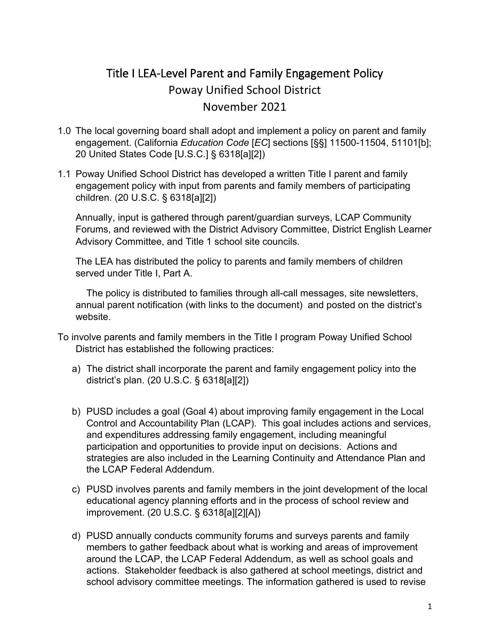## Title I LEA-Level Parent and Family Engagement Policy Poway Unified School District November 2021

- 1.0 The local governing board shall adopt and implement a policy on parent and family engagement. (California *Education Code* [*EC*] sections [§§] 11500-11504, 51101[b]; 20 United States Code [U.S.C.] § 6318[a][2])
- 1.1 Poway Unified School District has developed a written Title I parent and family engagement policy with input from parents and family members of participating children. (20 U.S.C. § 6318[a][2])

Annually, input is gathered through parent/guardian surveys, LCAP Community Forums, and reviewed with the District Advisory Committee, District English Learner Advisory Committee, and Title 1 school site councils.

 The LEA has distributed the policy to parents and family members of children served under Title I, Part A.

The policy is distributed to families through all-call messages, site newsletters, annual parent notification (with links to the document) and posted on the district's website.

- To involve parents and family members in the Title I program Poway Unified School District has established the following practices:
	- a) The district shall incorporate the parent and family engagement policy into the district's plan. (20 U.S.C. § 6318[a][2])
	- b) PUSD includes a goal (Goal 4) about improving family engagement in the Local Control and Accountability Plan (LCAP). This goal includes actions and services, and expenditures addressing family engagement, including meaningful participation and opportunities to provide input on decisions. Actions and strategies are also included in the Learning Continuity and Attendance Plan and the LCAP Federal Addendum.
	- c) PUSD involves parents and family members in the joint development of the local educational agency planning efforts and in the process of school review and improvement. (20 U.S.C. § 6318[a][2][A])
	- d) PUSD annually conducts community forums and surveys parents and family members to gather feedback about what is working and areas of improvement around the LCAP, the LCAP Federal Addendum, as well as school goals and actions. Stakeholder feedback is also gathered at school meetings, district and school advisory committee meetings. The information gathered is used to revise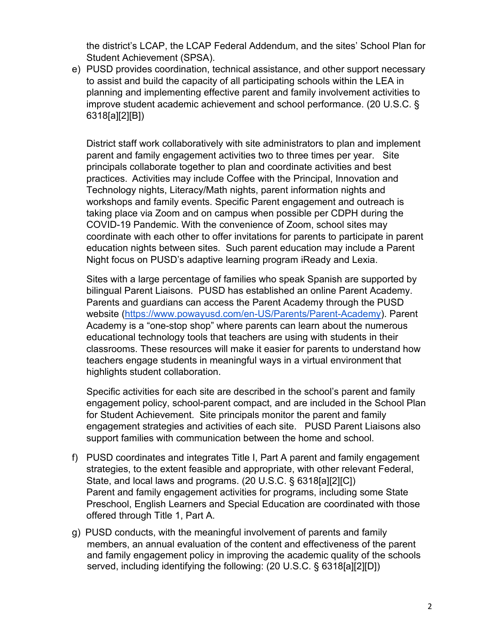the district's LCAP, the LCAP Federal Addendum, and the sites' School Plan for Student Achievement (SPSA).

e) PUSD provides coordination, technical assistance, and other support necessary to assist and build the capacity of all participating schools within the LEA in planning and implementing effective parent and family involvement activities to improve student academic achievement and school performance. (20 U.S.C. § 6318[a][2][B])

District staff work collaboratively with site administrators to plan and implement parent and family engagement activities two to three times per year. Site principals collaborate together to plan and coordinate activities and best practices. Activities may include Coffee with the Principal, Innovation and Technology nights, Literacy/Math nights, parent information nights and workshops and family events. Specific Parent engagement and outreach is taking place via Zoom and on campus when possible per CDPH during the COVID-19 Pandemic. With the convenience of Zoom, school sites may coordinate with each other to offer invitations for parents to participate in parent education nights between sites. Such parent education may include a Parent Night focus on PUSD's adaptive learning program iReady and Lexia.

Sites with a large percentage of families who speak Spanish are supported by bilingual Parent Liaisons. PUSD has established an online Parent Academy. Parents and guardians can access the Parent Academy through the PUSD website [\(https://www.powayusd.com/en-US/Parents/Parent-Academy\)](https://www.powayusd.com/en-US/Parents/Parent-Academy). Parent Academy is a "one-stop shop" where parents can learn about the numerous educational technology tools that teachers are using with students in their classrooms. These resources will make it easier for parents to understand how teachers engage students in meaningful ways in a virtual environment that highlights student collaboration.

Specific activities for each site are described in the school's parent and family engagement policy, school-parent compact, and are included in the School Plan for Student Achievement. Site principals monitor the parent and family engagement strategies and activities of each site. PUSD Parent Liaisons also support families with communication between the home and school.

- f) PUSD coordinates and integrates Title I, Part A parent and family engagement strategies, to the extent feasible and appropriate, with other relevant Federal, State, and local laws and programs. (20 U.S.C. § 6318[a][2][C]) Parent and family engagement activities for programs, including some State Preschool, English Learners and Special Education are coordinated with those offered through Title 1, Part A.
- g) PUSD conducts, with the meaningful involvement of parents and family members, an annual evaluation of the content and effectiveness of the parent and family engagement policy in improving the academic quality of the schools served, including identifying the following: (20 U.S.C. § 6318[a][2][D])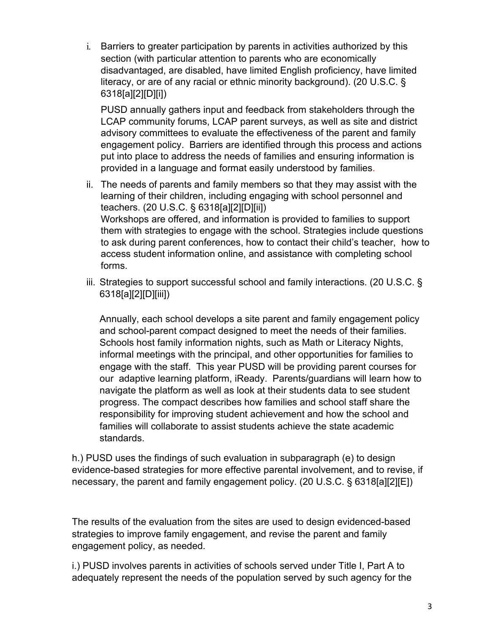i. Barriers to greater participation by parents in activities authorized by this section (with particular attention to parents who are economically disadvantaged, are disabled, have limited English proficiency, have limited literacy, or are of any racial or ethnic minority background). (20 U.S.C. § 6318[a][2][D][i])

PUSD annually gathers input and feedback from stakeholders through the LCAP community forums, LCAP parent surveys, as well as site and district advisory committees to evaluate the effectiveness of the parent and family engagement policy. Barriers are identified through this process and actions put into place to address the needs of families and ensuring information is provided in a language and format easily understood by families.

- ii. The needs of parents and family members so that they may assist with the learning of their children, including engaging with school personnel and teachers. (20 U.S.C. § 6318[a][2][D][ii]) Workshops are offered, and information is provided to families to support them with strategies to engage with the school. Strategies include questions to ask during parent conferences, how to contact their child's teacher, how to access student information online, and assistance with completing school forms.
- iii. Strategies to support successful school and family interactions. (20 U.S.C. § 6318[a][2][D][iii])

Annually, each school develops a site parent and family engagement policy and school-parent compact designed to meet the needs of their families. Schools host family information nights, such as Math or Literacy Nights, informal meetings with the principal, and other opportunities for families to engage with the staff. This year PUSD will be providing parent courses for our adaptive learning platform, iReady. Parents/guardians will learn how to navigate the platform as well as look at their students data to see student progress. The compact describes how families and school staff share the responsibility for improving student achievement and how the school and families will collaborate to assist students achieve the state academic standards.

h.) PUSD uses the findings of such evaluation in subparagraph (e) to design evidence-based strategies for more effective parental involvement, and to revise, if necessary, the parent and family engagement policy. (20 U.S.C. § 6318[a][2][E])

The results of the evaluation from the sites are used to design evidenced-based strategies to improve family engagement, and revise the parent and family engagement policy, as needed.

i.) PUSD involves parents in activities of schools served under Title I, Part A to adequately represent the needs of the population served by such agency for the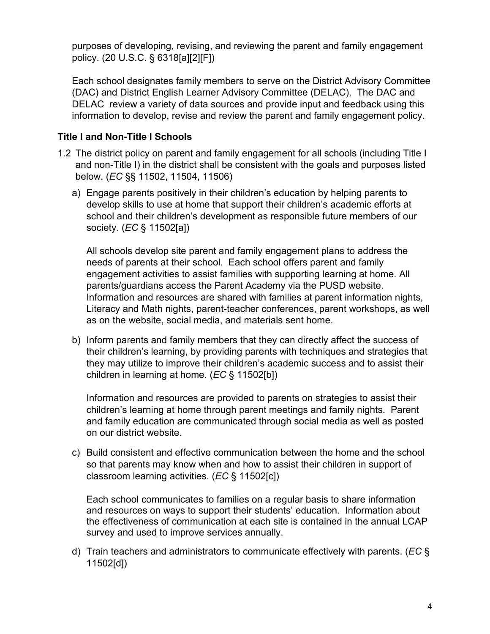purposes of developing, revising, and reviewing the parent and family engagement policy. (20 U.S.C. § 6318[a][2][F])

Each school designates family members to serve on the District Advisory Committee (DAC) and District English Learner Advisory Committee (DELAC). The DAC and DELAC review a variety of data sources and provide input and feedback using this information to develop, revise and review the parent and family engagement policy.

## **Title I and Non-Title I Schools**

- 1.2 The district policy on parent and family engagement for all schools (including Title I and non-Title I) in the district shall be consistent with the goals and purposes listed below. (*EC* §§ 11502, 11504, 11506)
	- a) Engage parents positively in their children's education by helping parents to develop skills to use at home that support their children's academic efforts at school and their children's development as responsible future members of our society. (*EC* § 11502[a])

All schools develop site parent and family engagement plans to address the needs of parents at their school. Each school offers parent and family engagement activities to assist families with supporting learning at home. All parents/guardians access the Parent Academy via the PUSD website. Information and resources are shared with families at parent information nights, Literacy and Math nights, parent-teacher conferences, parent workshops, as well as on the website, social media, and materials sent home.

b) Inform parents and family members that they can directly affect the success of their children's learning, by providing parents with techniques and strategies that they may utilize to improve their children's academic success and to assist their children in learning at home. (*EC* § 11502[b])

Information and resources are provided to parents on strategies to assist their children's learning at home through parent meetings and family nights. Parent and family education are communicated through social media as well as posted on our district website.

c) Build consistent and effective communication between the home and the school so that parents may know when and how to assist their children in support of classroom learning activities. (*EC* § 11502[c])

Each school communicates to families on a regular basis to share information and resources on ways to support their students' education. Information about the effectiveness of communication at each site is contained in the annual LCAP survey and used to improve services annually.

d) Train teachers and administrators to communicate effectively with parents. (*EC* § 11502[d])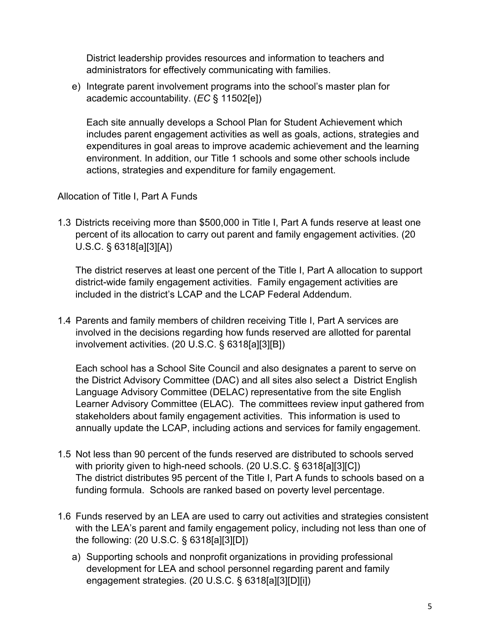District leadership provides resources and information to teachers and administrators for effectively communicating with families.

e) Integrate parent involvement programs into the school's master plan for academic accountability. (*EC* § 11502[e])

Each site annually develops a School Plan for Student Achievement which includes parent engagement activities as well as goals, actions, strategies and expenditures in goal areas to improve academic achievement and the learning environment. In addition, our Title 1 schools and some other schools include actions, strategies and expenditure for family engagement.

Allocation of Title I, Part A Funds

1.3 Districts receiving more than \$500,000 in Title I, Part A funds reserve at least one percent of its allocation to carry out parent and family engagement activities. (20 U.S.C. § 6318[a][3][A])

The district reserves at least one percent of the Title I, Part A allocation to support district-wide family engagement activities. Family engagement activities are included in the district's LCAP and the LCAP Federal Addendum.

1.4 Parents and family members of children receiving Title I, Part A services are involved in the decisions regarding how funds reserved are allotted for parental involvement activities. (20 U.S.C. § 6318[a][3][B])

Each school has a School Site Council and also designates a parent to serve on the District Advisory Committee (DAC) and all sites also select a District English Language Advisory Committee (DELAC) representative from the site English Learner Advisory Committee (ELAC). The committees review input gathered from stakeholders about family engagement activities. This information is used to annually update the LCAP, including actions and services for family engagement.

- 1.5 Not less than 90 percent of the funds reserved are distributed to schools served with priority given to high-need schools. (20 U.S.C. § 6318[a][3][C]) The district distributes 95 percent of the Title I, Part A funds to schools based on a funding formula. Schools are ranked based on poverty level percentage.
- 1.6 Funds reserved by an LEA are used to carry out activities and strategies consistent with the LEA's parent and family engagement policy, including not less than one of the following: (20 U.S.C. § 6318[a][3][D])
	- a) Supporting schools and nonprofit organizations in providing professional development for LEA and school personnel regarding parent and family engagement strategies. (20 U.S.C. § 6318[a][3][D][i])